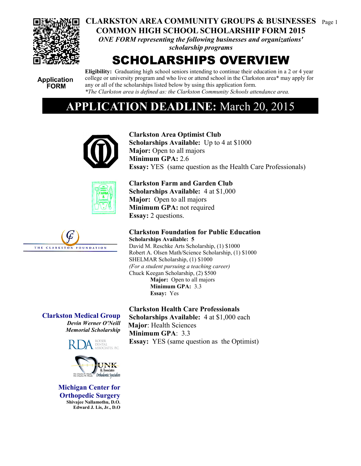

# **CLARKSTON AREA COMMUNITY GROUPS & BUSINESSES** Page 1 **COMMON HIGH SCHOOL SCHOLARSHIP FORM 2015**

*ONE FORM representing the following businesses and organizations' scholarship programs*

# SCHOLARSHIPS OVERVIEW

**Application FORM** 

**Eligibility:** Graduating high school seniors intending to continue their education in a 2 or 4 year college or university program and who live or attend school in the Clarkston area\* may apply for any or all of the scholarships listed below by using this application form. *\*The Clarkston area is defined as: the Clarkston Community Schools attendance area.*

# **ACATION DEADLINE:** March 20, 2015





**Clarkston Area Optimist Club Scholarships Available:** Up to 4 at \$1000 **Major:** Open to all majors **Minimum GPA: 2.6 Essay:** YES (same question as the Health Care Professionals)

**Clarkston Farm and Garden Club Scholarships Available:** 4 at \$1,000 **Major:** Open to all majors **Minimum GPA:** not required

**Essay:** 2 questions.

**Clarkston Foundation for Public Education Scholarships Available: 5**  David M. Reschke Arts Scholarship, (1) \$1000

Robert A. Olsen Math/Science Scholarship, (1) \$1000 SHELMAR Scholarship, (1) \$1000 *(For a student pursuing a teaching career)* Chuck Keegan Scholarship, (2) \$500 **Major:** Open to all majors **Minimum GPA:** 3.3 **Essay:** Yes

**Clarkston Medical Group** *Devin Werner O'Neill Memorial Scholarship*





**Michigan Center for Orthopedic Surgery Shivajee Nallamothu, D.O. Edward J. Lis, Jr., D.O**

**Clarkston Health Care Professionals Scholarships Available:** 4 at \$1,000 each

**Major**: Health Sciences **Minimum GPA**: 3.3 **Essay:** YES (same question as the Optimist)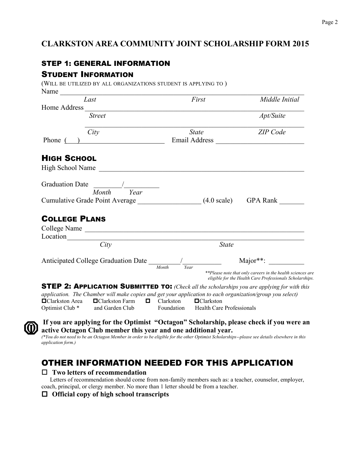# **CLARKSTON AREA COMMUNITY JOINT SCHOLARSHIP FORM 2015**

# STEP 1: GENERAL INFORMATION

(WILL BE UTILIZED BY ALL ORGANIZATIONS STUDENT IS APPLYING TO )

## STUDENT INFORMATION

| Name                       | TWILL BE CHILILLED BT ALL ONGAINIZATIONS STODENT IS ATTEINED TO J |                               |                                                                                                                        |
|----------------------------|-------------------------------------------------------------------|-------------------------------|------------------------------------------------------------------------------------------------------------------------|
|                            | Last                                                              | First                         | Middle Initial                                                                                                         |
| Home Address               |                                                                   |                               |                                                                                                                        |
|                            | <b>Street</b>                                                     |                               | Apt/Suite                                                                                                              |
|                            | City                                                              | <b>State</b>                  | ZIP Code                                                                                                               |
| Phone (                    | <u> 1980 - Jan Samuel Barbara, martin di</u>                      | Email Address                 |                                                                                                                        |
| <b>HIGH SCHOOL</b>         |                                                                   |                               |                                                                                                                        |
| <b>High School Name</b>    |                                                                   |                               |                                                                                                                        |
| <b>Graduation Date</b>     | Month<br>Year                                                     |                               |                                                                                                                        |
|                            | Cumulative Grade Point Average (4.0 scale)                        |                               | GPA Rank                                                                                                               |
| <b>COLLEGE PLANS</b>       |                                                                   |                               |                                                                                                                        |
|                            |                                                                   |                               |                                                                                                                        |
|                            |                                                                   |                               |                                                                                                                        |
|                            | City                                                              |                               | <b>State</b>                                                                                                           |
|                            | Anticipated College Graduation Date                               |                               | $Major**:$                                                                                                             |
|                            |                                                                   | Month<br>Year                 | **Please note that only careers in the health sciences are<br>eligible for the Health Care Professionals Scholarships. |
|                            |                                                                   |                               | <b>STEP 2: APPLICATION SUBMITTED TO:</b> (Check all the scholarships you are applying for with this                    |
|                            |                                                                   |                               | application. The Chamber will make copies and get your application to each organization/group you select)              |
| <b>□</b> Clarkston Area    | □ Clarkston Farm                                                  | Clarkston<br>$\Box$ Clarkston |                                                                                                                        |
| Optimist Club <sup>*</sup> | and Garden Club                                                   | Foundation                    | <b>Health Care Professionals</b>                                                                                       |



**If you are applying for the Optimist "Octagon" Scholarship, please check if you were an active Octagon Club member this year and one additional year.** 

*(\*You do not need to be an Octagon Member in order to be eligible for the other Optimist Scholarships--please see details elsewhere in this application form.)*

# OTHER INFORMATION NEEDED FOR THIS APPLICATION

#### **Two letters of recommendation**

 Letters of recommendation should come from non-family members such as: a teacher, counselor, employer, coach, principal, or clergy member. No more than 1 letter should be from a teacher.

**Official copy of high school transcripts**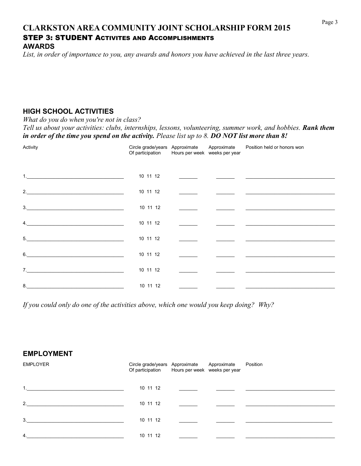# **CLARKSTON AREA COMMUNITY JOINT SCHOLARSHIP FORM 2015** STEP 3: STUDENT ACTIVITES AND ACCOMPLISHMENTS **AWARDS**

*List, in order of importance to you, any awards and honors you have achieved in the last three years.*

# **HIGH SCHOOL ACTIVITIES**

*What do you do when you're not in class?*

*Tell us about your activities: clubs, internships, lessons, volunteering, summer work, and hobbies. Rank them in order of the time you spend on the activity. Please list up to 8. DO NOT list more than 8!*

| Activity                                                                                                                  | Circle grade/years Approximate<br>Of participation | Hours per week weeks per year | Approximate | Position held or honors won                                                                                          |
|---------------------------------------------------------------------------------------------------------------------------|----------------------------------------------------|-------------------------------|-------------|----------------------------------------------------------------------------------------------------------------------|
|                                                                                                                           | 10 11 12                                           |                               |             |                                                                                                                      |
| 2.                                                                                                                        | 10 11 12                                           |                               |             | <u> 1989 - Johann John Stone, markin film fan de ferske fan de ferske fan de ferske fan de ferske fan de ferske</u>  |
| $3.$ $\overline{\phantom{a}}$                                                                                             | 10 11 12                                           |                               |             | the contract of the contract of the contract of the contract of the contract of the contract of the contract of      |
| $\mathbf{4.}$                                                                                                             | 10 11 12                                           |                               |             | <u> 2000 - 2000 - 2000 - 2000 - 2000 - 2000 - 2000 - 2000 - 2000 - 2000 - 2000 - 2000 - 2000 - 2000 - 2000 - 200</u> |
| 5.<br><u> 1989 - Johann Barn, mars ann an t-Amhain an t-Amhain an t-Amhain an t-Amhain an t-Amhain an t-Amhain an t-A</u> | 10 11 12                                           |                               |             | the contract of the contract of the contract of the contract of the contract of                                      |
| 6.                                                                                                                        | 10 11 12                                           |                               |             |                                                                                                                      |
| 7.                                                                                                                        | 10 11 12                                           |                               |             | <u> 1989 - Andrea Stein, Amerikaansk politiker (</u>                                                                 |
| 8.                                                                                                                        | 10 11 12                                           |                               |             |                                                                                                                      |

*If you could only do one of the activities above, which one would you keep doing? Why?*

# **EMPLOYMENT**

| <b>EMPLOYER</b>  | Circle grade/years Approximate Approximate Position<br>Of participation Hours per week weeks per year |                                                                                                                       |  |
|------------------|-------------------------------------------------------------------------------------------------------|-----------------------------------------------------------------------------------------------------------------------|--|
| 1.               | 10 11 12                                                                                              | <u> 1980 - Jan Sterling von Sterling von Berger von Berger von Berger von Berger von Berger von Berger von Berger</u> |  |
| 2.               | 10 11 12                                                                                              | <u> 1980 - Jan Stein Berlin, mars and de Brandenberg (b. 1980)</u>                                                    |  |
| 3.               | 10 11 12                                                                                              |                                                                                                                       |  |
| $\overline{4}$ . | 10 11 12                                                                                              |                                                                                                                       |  |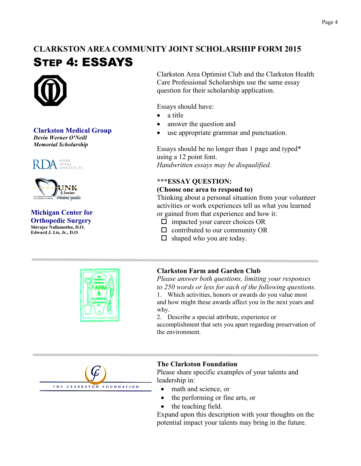# **CLARKSTON AREA COMMUNITY JOINT SCHOLARSHIP FORM 2015** STEP 4: ESSAYS



**Clarkston Medical Group** *Devin Werner O'Neill Memorial Scholarship*





#### **Michigan Center for Orthopedic Surgery Shivajee Nallamothu, D.O. Edward J. Lis, Jr., D.O**



Clarkston Area Optimist Club and the Clarkston Health Care Professional Scholarships use the same essay question for their scholarship application.

Essays should have:

- a title
- answer the question and
- use appropriate grammar and punctuation.

Essays should be no longer than 1 page and typed\* using a 12 point font. *Handwritten essays may be disqualified.*

# **\*\*\*ESSAY QUESTION:**

### **(Choose one area to respond to)**

Thinking about a personal situation from your volunteer activities or work experiences tell us what you learned or gained from that experience and how it:

- $\Box$  impacted your career choices OR
- $\Box$  contributed to our community OR
- $\Box$  shaped who you are today.

# **Clarkston Farm and Garden Club**

*Please answer both questions, limiting your responses to 250 words or less for each of the following questions.*

1. Which activities, honors or awards do you value most and how might these awards affect you in the next years and why.

2. Describe a special attribute, experience or accomplishment that sets you apart regarding preservation of the environment.



### **The Clarkston Foundation**

Please share specific examples of your talents and leadership in:

- math and science, or
- the performing or fine arts, or
- the teaching field.

Expand upon this description with your thoughts on the potential impact your talents may bring in the future.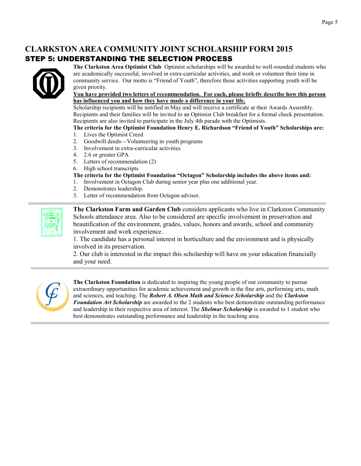# **CLARKSTON AREA COMMUNITY JOINT SCHOLARSHIP FORM 2015** STEP 5: UNDERSTANDING THE SELECTION PROCESS



**The Clarkston Area Optimist Club** Optimist scholarships will be awarded to well-rounded students who are academically successful, involved in extra-curricular activities, and work or volunteer their time in community service. Our motto is "Friend of Youth", therefore those activities supporting youth will be given priority.

#### **You have provided two letters of recommendation. For each, please briefly describe how this person has influenced you and how they have made a difference in your life.**

Scholarship recipients will be notified in May and will receive a certificate at their Awards Assembly. Recipients and their families will be invited to an Optimist Club breakfast for a formal check presentation. Recipients are also invited to participate in the July 4th parade with the Optimists.

### **The criteria for the Optimist Foundation Henry E. Richardson "Friend of Youth" Scholarships are:**

- 1. Lives the Optimist Creed
- 2. Goodwill deeds—Volunteering in youth programs
- 3. Involvement in extra-curricular activities
- 4. 2.6 or greater GPA
- 5. Letters of recommendation (2)
- 6. High school transcripts

#### **The criteria for the Optimist Foundation "Octagon" Scholarship includes the above items and:**

- 1. Involvement in Octagon Club during senior year plus one additional year.
- 2. Demonstrates leadership.
- 3. Letter of recommendation from Octagon advisor.

**The Clarkston Farm and Garden Club** considers applicants who live in Clarkston Community Schools attendance area. Also to be considered are specific involvement in preservation and beautification of the environment, grades, values, honors and awards, school and community involvement and work experience.

1. The candidate has a personal interest in horticulture and the environment and is physically involved in its preservation.

2. Our club is interested in the impact this scholarship will have on your education financially and your need.



**The Clarkston Foundation** is dedicated to inspiring the young people of our community to pursue extraordinary opportunities for academic achievement and growth in the fine arts, performing arts, math and sciences, and teaching. The *Robert A. Olsen Math and Science Scholarship* and the *Clarkston Foundation Art Scholarship* are awarded to the 2 students who best demonstrate outstanding performance and leadership in their respective area of interest. The *Shelmar Scholarship* is awarded to 1 student who best demonstrates outstanding performance and leadership in the teaching area.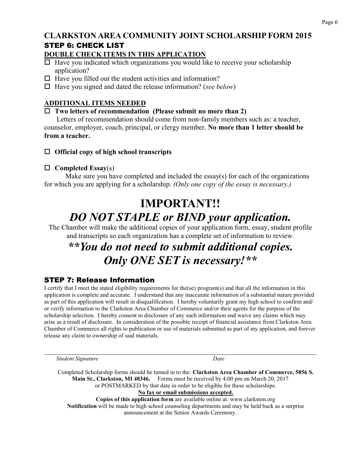#### Page 6

# **CLARKSTON AREA COMMUNITY JOINT SCHOLARSHIP FORM 2015** STEP 6: CHECK LIST

## **DOUBLE CHECK ITEMS IN THIS APPLICATION**

- $\Box$  Have you indicated which organizations you would like to receive your scholarship application?
- $\Box$  Have you filled out the student activities and information?
- Have you signed and dated the release information? (*see below*)

# **ADDITIONAL ITEMS NEEDED**

### **Two letters of recommendation (Please submit no more than 2)**

 Letters of recommendation should come from non-family members such as: a teacher, counselor, employer, coach, principal, or clergy member. **No more than 1 letter should be from a teacher.** 

# **Official copy of high school transcripts**

# **Completed Essay**(s)

Make sure you have completed and included the essay(s) for each of the organizations for which you are applying for a scholarship. *(Only one copy of the essay is necessary.)*

# **IMPORTANT!!** *DO NOT STAPLE or BIND your application.*

The Chamber will make the additional copies of your application form, essay, student profile and transcripts so each organization has a complete set of information to review.

# *\*\*You do not need to submit additional copies. Only ONE SET is necessary!\*\**

# STEP 7: Release Information

I certify that I meet the stated eligibility requirements for the(se) program(s) and that all the information in this application is complete and accurate. I understand that any inaccurate information of a substantial nature provided as part of this application will result in disqualification. I hereby voluntarily grant my high school to confirm and/ or verify information to the Clarkston Area Chamber of Commerce and/or their agents for the purpose of the scholarship selection. I hereby consent to disclosure of any such information and waive any claims which may arise as a result of disclosure. In consideration of the possible receipt of financial assistance from Clarkston Area Chamber of Commerce all rights to publication or use of materials submitted as part of my application, and forever release any claim to ownership of said materials.

 $\_$  , and the contribution of the contribution of the contribution of the contribution of  $\mathcal{L}_\text{max}$ **Student Signature** Date Completed Scholarship forms should be turned in to the: **Clarkston Area Chamber of Commerce, 5856 S. Main St., Clarkston, MI 48346.** Forms must be received by 4:00 pm on March 20, 2017 or POSTMARKED by that date in order to be eligible for these scholarships. **No fax or email submissions accepted. Copies of this application form** are available online at: www.clarkston.org **Notification** will be made to high school counseling departments and may be held back as a surprise announcement at the Senior Awards Ceremony.